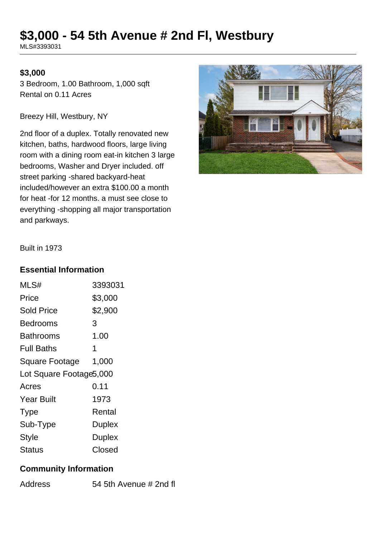# **\$3,000 - 54 5th Avenue # 2nd Fl, Westbury**

MLS#3393031

#### **\$3,000**

3 Bedroom, 1.00 Bathroom, 1,000 sqft Rental on 0.11 Acres

Breezy Hill, Westbury, NY

2nd floor of a duplex. Totally renovated new kitchen, baths, hardwood floors, large living room with a dining room eat-in kitchen 3 large bedrooms, Washer and Dryer included. off street parking -shared backyard-heat included/however an extra \$100.00 a month for heat -for 12 months. a must see close to everything -shopping all major transportation and parkways.



Built in 1973

#### **Essential Information**

| MLS#                    | 3393031       |  |
|-------------------------|---------------|--|
| Price                   | \$3,000       |  |
| Sold Price              | \$2,900       |  |
| Bedrooms                | 3             |  |
| Bathrooms               | 1.00          |  |
| <b>Full Baths</b>       | 1             |  |
| <b>Square Footage</b>   | 1,000         |  |
| Lot Square Footage5,000 |               |  |
| Acres                   | 0.11          |  |
| <b>Year Built</b>       | 1973          |  |
| <b>Type</b>             | Rental        |  |
| Sub-Type                | <b>Duplex</b> |  |
| <b>Style</b>            | <b>Duplex</b> |  |
| Status                  | Closed        |  |

#### **Community Information**

Address 54 5th Avenue # 2nd fl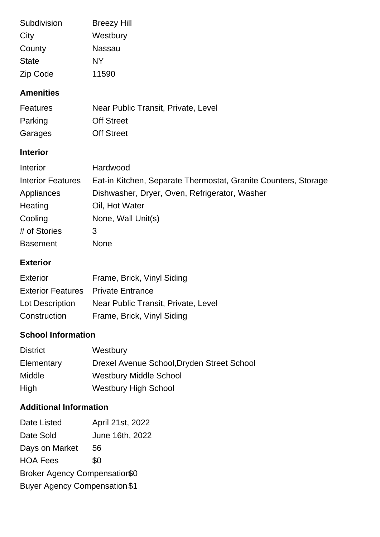| Subdivision  | <b>Breezy Hill</b> |
|--------------|--------------------|
| City         | Westbury           |
| County       | Nassau             |
| <b>State</b> | NΥ                 |
| Zip Code     | 11590              |

## **Amenities**

| <b>Features</b> | Near Public Transit, Private, Level |
|-----------------|-------------------------------------|
| Parking         | <b>Off Street</b>                   |
| Garages         | <b>Off Street</b>                   |

# **Interior**

| Interior                 | Hardwood                                                       |
|--------------------------|----------------------------------------------------------------|
| <b>Interior Features</b> | Eat-in Kitchen, Separate Thermostat, Granite Counters, Storage |
| Appliances               | Dishwasher, Dryer, Oven, Refrigerator, Washer                  |
| Heating                  | Oil, Hot Water                                                 |
| Cooling                  | None, Wall Unit(s)                                             |
| # of Stories             | 3                                                              |
| <b>Basement</b>          | <b>None</b>                                                    |

## **Exterior**

| Exterior                                  | Frame, Brick, Vinyl Siding          |
|-------------------------------------------|-------------------------------------|
| <b>Exterior Features</b> Private Entrance |                                     |
| Lot Description                           | Near Public Transit, Private, Level |
| Construction                              | Frame, Brick, Vinyl Siding          |

## **School Information**

| <b>District</b> | Westbury                                   |
|-----------------|--------------------------------------------|
| Elementary      | Drexel Avenue School, Dryden Street School |
| <b>Middle</b>   | <b>Westbury Middle School</b>              |
| High            | <b>Westbury High School</b>                |

# **Additional Information**

| Date Listed                          | April 21st, 2022 |  |
|--------------------------------------|------------------|--|
| Date Sold                            | June 16th, 2022  |  |
| Days on Market                       | 56               |  |
| <b>HOA Fees</b>                      | \$0              |  |
| Broker Agency Compensation\$0        |                  |  |
| <b>Buyer Agency Compensation \$1</b> |                  |  |